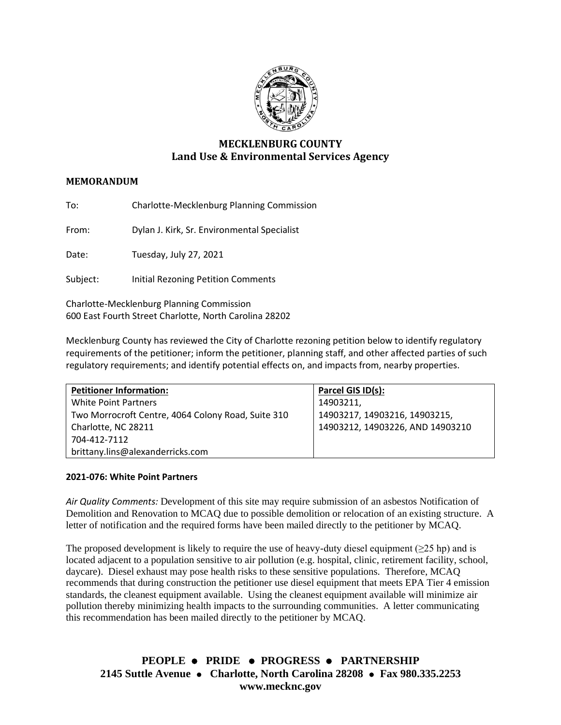

# **MECKLENBURG COUNTY Land Use & Environmental Services Agency**

## **MEMORANDUM**

To: Charlotte-Mecklenburg Planning Commission

From: Dylan J. Kirk, Sr. Environmental Specialist

Date: Tuesday, July 27, 2021

Subject: Initial Rezoning Petition Comments

Charlotte-Mecklenburg Planning Commission 600 East Fourth Street Charlotte, North Carolina 28202

Mecklenburg County has reviewed the City of Charlotte rezoning petition below to identify regulatory requirements of the petitioner; inform the petitioner, planning staff, and other affected parties of such regulatory requirements; and identify potential effects on, and impacts from, nearby properties.

| <b>Petitioner Information:</b>                     | Parcel GIS ID(s):                |
|----------------------------------------------------|----------------------------------|
| <b>White Point Partners</b>                        | 14903211,                        |
| Two Morrocroft Centre, 4064 Colony Road, Suite 310 | 14903217, 14903216, 14903215,    |
| Charlotte, NC 28211                                | 14903212, 14903226, AND 14903210 |
| 704-412-7112                                       |                                  |
| brittany.lins@alexanderricks.com                   |                                  |

#### **2021-076: White Point Partners**

*Air Quality Comments:* Development of this site may require submission of an asbestos Notification of Demolition and Renovation to MCAQ due to possible demolition or relocation of an existing structure. A letter of notification and the required forms have been mailed directly to the petitioner by MCAQ.

The proposed development is likely to require the use of heavy-duty diesel equipment ( $\geq 25$  hp) and is located adjacent to a population sensitive to air pollution (e.g. hospital, clinic, retirement facility, school, daycare). Diesel exhaust may pose health risks to these sensitive populations. Therefore, MCAQ recommends that during construction the petitioner use diesel equipment that meets EPA Tier 4 emission standards, the cleanest equipment available. Using the cleanest equipment available will minimize air pollution thereby minimizing health impacts to the surrounding communities. A letter communicating this recommendation has been mailed directly to the petitioner by MCAQ.

**PEOPLE** ⚫ **PRIDE** ⚫ **PROGRESS** ⚫ **PARTNERSHIP 2145 Suttle Avenue** ⚫ **Charlotte, North Carolina 28208** ⚫ **Fax 980.335.2253 www.mecknc.gov**